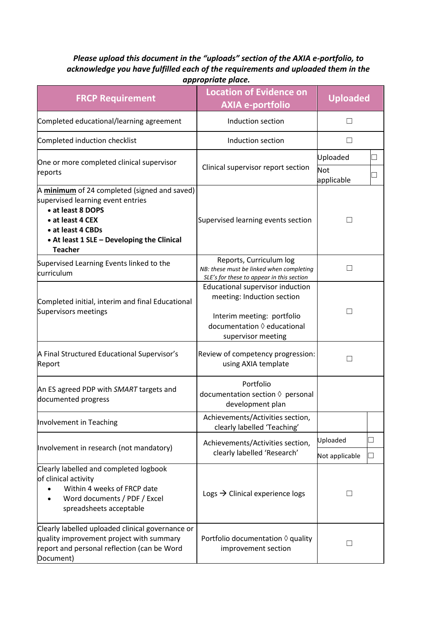## *Please upload this document in the "uploads" section of the AXIA e-portfolio, to acknowledge you have fulfilled each of the requirements and uploaded them in the appropriate place.*

| <b>FRCP Requirement</b>                                                                                                                                                                                         | <b>Location of Evidence on</b><br><b>AXIA e-portfolio</b>                                                                                                  | <b>Uploaded</b>          |  |
|-----------------------------------------------------------------------------------------------------------------------------------------------------------------------------------------------------------------|------------------------------------------------------------------------------------------------------------------------------------------------------------|--------------------------|--|
| Completed educational/learning agreement                                                                                                                                                                        | Induction section                                                                                                                                          | $\perp$                  |  |
| Completed induction checklist                                                                                                                                                                                   | Induction section                                                                                                                                          | $\mathsf{L}$             |  |
| One or more completed clinical supervisor<br>reports                                                                                                                                                            | Clinical supervisor report section                                                                                                                         | Uploaded<br><b>Not</b>   |  |
|                                                                                                                                                                                                                 |                                                                                                                                                            | applicable               |  |
| A minimum of 24 completed (signed and saved)<br>supervised learning event entries<br>• at least 8 DOPS<br>• at least 4 CEX<br>• at least 4 CBDs<br>• At least 1 SLE - Developing the Clinical<br><b>Teacher</b> | Supervised learning events section                                                                                                                         |                          |  |
| Supervised Learning Events linked to the<br>curriculum                                                                                                                                                          | Reports, Curriculum log<br>NB: these must be linked when completing<br>SLE's for these to appear in this section                                           | $\overline{\phantom{a}}$ |  |
| Completed initial, interim and final Educational<br>Supervisors meetings                                                                                                                                        | Educational supervisor induction<br>meeting: Induction section<br>Interim meeting: portfolio<br>documentation $\Diamond$ educational<br>supervisor meeting |                          |  |
| A Final Structured Educational Supervisor's<br>Report                                                                                                                                                           | Review of competency progression:<br>using AXIA template                                                                                                   | $\overline{\phantom{a}}$ |  |
| An ES agreed PDP with SMART targets and<br>documented progress                                                                                                                                                  | Portfolio<br>documentation section $\Diamond$ personal<br>development plan                                                                                 |                          |  |
| Involvement in Teaching                                                                                                                                                                                         | Achievements/Activities section,<br>clearly labelled 'Teaching'                                                                                            |                          |  |
| Involvement in research (not mandatory)                                                                                                                                                                         | Achievements/Activities section,<br>clearly labelled 'Research'                                                                                            | Uploaded                 |  |
|                                                                                                                                                                                                                 |                                                                                                                                                            | Not applicable           |  |
| Clearly labelled and completed logbook<br>of clinical activity<br>Within 4 weeks of FRCP date<br>Word documents / PDF / Excel<br>spreadsheets acceptable                                                        | Logs $\rightarrow$ Clinical experience logs                                                                                                                | $\Box$                   |  |
| Clearly labelled uploaded clinical governance or<br>quality improvement project with summary<br>report and personal reflection (can be Word<br>Document)                                                        | Portfolio documentation $\Diamond$ quality<br>improvement section                                                                                          | $\Box$                   |  |